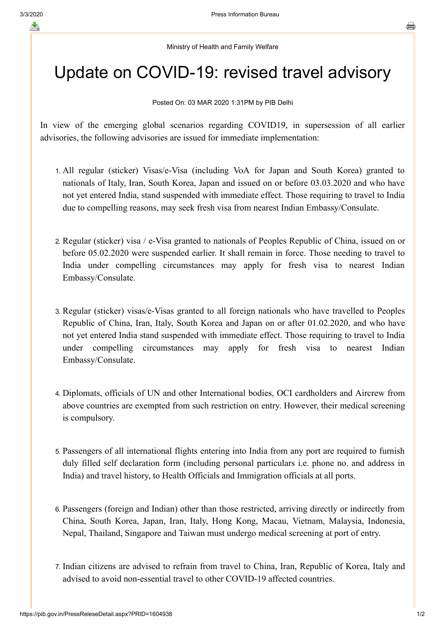## Ministry of Health and Family Welfare

## Update on COVID-19: revised travel advisory

## Posted On: 03 MAR 2020 1:31PM by PIB Delhi

In view of the emerging global scenarios regarding COVID19, in supersession of all earlier advisories, the following advisories are issued for immediate implementation:

- 1. All regular (sticker) Visas/e-Visa (including VoA for Japan and South Korea) granted to nationals of Italy, Iran, South Korea, Japan and issued on or before 03.03.2020 and who have not yet entered India, stand suspended with immediate effect. Those requiring to travel to India due to compelling reasons, may seek fresh visa from nearest Indian Embassy/Consulate.
- 2. Regular (sticker) visa / e-Visa granted to nationals of Peoples Republic of China, issued on or before 05.02.2020 were suspended earlier. It shall remain in force. Those needing to travel to India under compelling circumstances may apply for fresh visa to nearest Indian Embassy/Consulate.
- 3. Regular (sticker) visas/e-Visas granted to all foreign nationals who have travelled to Peoples Republic of China, Iran, Italy, South Korea and Japan on or after 01.02.2020, and who have not yet entered India stand suspended with immediate effect. Those requiring to travel to India under compelling circumstances may apply for fresh visa to nearest Indian Embassy/Consulate.
- 4. Diplomats, officials of UN and other International bodies, OCI cardholders and Aircrew from above countries are exempted from such restriction on entry. However, their medical screening is compulsory.
- 5. Passengers of all international flights entering into India from any port are required to furnish duly filled self declaration form (including personal particulars i.e. phone no. and address in India) and travel history, to Health Officials and Immigration officials at all ports.
- 6. Passengers (foreign and Indian) other than those restricted, arriving directly or indirectly from China, South Korea, Japan, Iran, Italy, Hong Kong, Macau, Vietnam, Malaysia, Indonesia, Nepal, Thailand, Singapore and Taiwan must undergo medical screening at port of entry.
- 7. Indian citizens are advised to refrain from travel to China, Iran, Republic of Korea, Italy and advised to avoid non-essential travel to other COVID-19 affected countries.